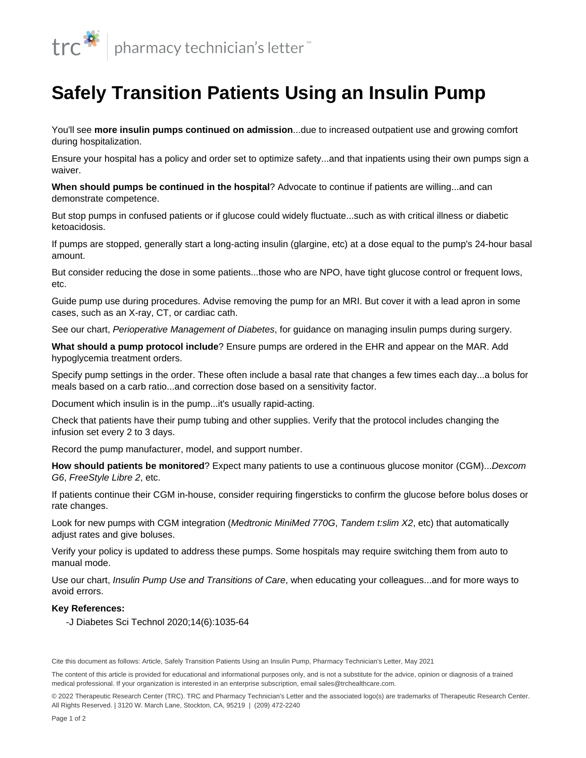

## **Safely Transition Patients Using an Insulin Pump**

You'll see **more [insulin pumps](/content/segments/prl/2016/apr/insulin-pumps-what-you-need-to-know-9584) continued on admission**...due to increased outpatient use and growing comfort during hospitalization.

Ensure your hospital has a policy and order set to optimize safety...and that inpatients using their own pumps sign a waiver.

**When should pumps be continued in the hospital**? Advocate to continue if patients are willing...and can demonstrate competence.

But stop pumps in confused patients or if glucose could widely fluctuate...such as with critical illness or diabetic ketoacidosis.

If pumps are stopped, generally start a long-acting insulin (glargine, etc) at a dose equal to the pump's 24-hour basal amount.

But consider reducing the dose in some patients...those who are NPO, have tight glucose control or frequent lows, etc.

Guide pump use during procedures. Advise removing the pump for an MRI. But cover it with a lead apron in some cases, such as an X-ray, CT, or cardiac cath.

See our chart, Perioperative Management of Diabetes, for guidance on managing insulin pumps during surgery.

**What should a pump protocol include**? Ensure pumps are ordered in the EHR and appear on the MAR. Add [hypoglycemia](/content/segments/prl/2013/jun/preventing-and-managing-hypoglycemia-in-patients-with-diabetes-5698) treatment orders.

Specify pump settings in the order. These often include a basal rate that changes a few times each day...a bolus for meals based on a carb ratio...and correction dose based on a sensitivity factor.

Document which [insulin](/content/segments/prl/2015/mar/comparison-of-insulins-8205) is in the pump...it's usually rapid-acting.

Check that patients have their pump tubing and other supplies. Verify that the protocol includes changing the infusion set every 2 to 3 days.

Record the pump manufacturer, model, and support number.

**How should patients be monitored**? Expect many patients to use a [continuous glucose monitor \(CGM\).](/content/articles/plh/2018/feb/help-answer-questions-about-using-continuous-glucose-monitors-in-the-hospital)..Dexcom G6, FreeStyle Libre 2, etc.

If patients continue their CGM in-house, consider requiring fingersticks to confirm the glucose before bolus doses or rate changes.

Look for new pumps with CGM integration (Medtronic MiniMed 770G, Tandem t:slim X2, etc) that automatically adjust rates and give boluses.

Verify your policy is updated to address these pumps. Some hospitals may require switching them from auto to manual mode.

Use our chart, Insulin Pump Use and Transitions of Care, when educating your colleagues...and for more ways to avoid errors.

## **Key References:**

-J Diabetes Sci Technol 2020;14(6):1035-64

© 2022 Therapeutic Research Center (TRC). TRC and Pharmacy Technician's Letter and the associated logo(s) are trademarks of Therapeutic Research Center. All Rights Reserved. | 3120 W. March Lane, Stockton, CA, 95219 | (209) 472-2240

Cite this document as follows: Article, Safely Transition Patients Using an Insulin Pump, Pharmacy Technician's Letter, May 2021

The content of this article is provided for educational and informational purposes only, and is not a substitute for the advice, opinion or diagnosis of a trained medical professional. If your organization is interested in an enterprise subscription, email sales@trchealthcare.com.